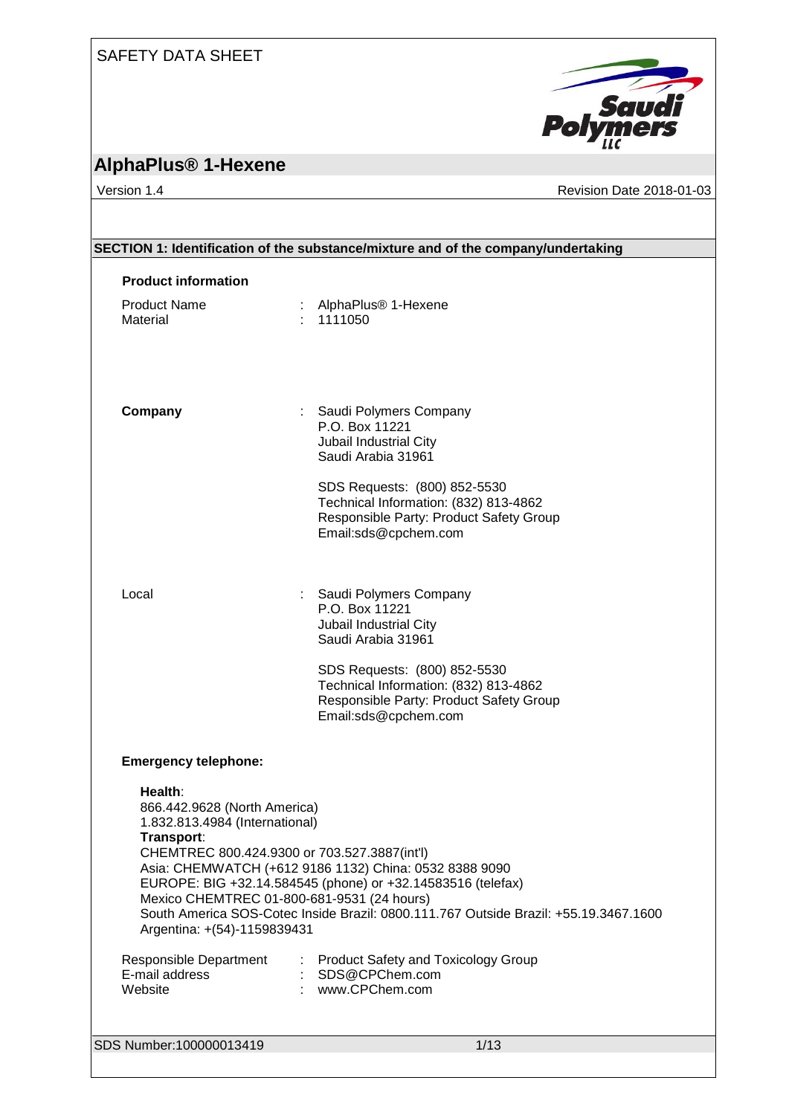## SAFETY DATA SHEET



# **AlphaPlus® 1-Hexene**

Version 1.4 Revision Date 2018-01-03

| SECTION 1: Identification of the substance/mixture and of the company/undertaking                                                                                                                                    |                                                                                                                                                                                                               |  |
|----------------------------------------------------------------------------------------------------------------------------------------------------------------------------------------------------------------------|---------------------------------------------------------------------------------------------------------------------------------------------------------------------------------------------------------------|--|
| <b>Product information</b>                                                                                                                                                                                           |                                                                                                                                                                                                               |  |
| <b>Product Name</b><br>Material                                                                                                                                                                                      | : AlphaPlus <sup>®</sup> 1-Hexene<br>1111050                                                                                                                                                                  |  |
| Company                                                                                                                                                                                                              | : Saudi Polymers Company<br>P.O. Box 11221<br>Jubail Industrial City<br>Saudi Arabia 31961                                                                                                                    |  |
|                                                                                                                                                                                                                      | SDS Requests: (800) 852-5530<br>Technical Information: (832) 813-4862<br>Responsible Party: Product Safety Group<br>Email:sds@cpchem.com                                                                      |  |
| Local                                                                                                                                                                                                                | Saudi Polymers Company<br>P.O. Box 11221<br>Jubail Industrial City<br>Saudi Arabia 31961                                                                                                                      |  |
|                                                                                                                                                                                                                      | SDS Requests: (800) 852-5530<br>Technical Information: (832) 813-4862<br>Responsible Party: Product Safety Group<br>Email:sds@cpchem.com                                                                      |  |
| <b>Emergency telephone:</b>                                                                                                                                                                                          |                                                                                                                                                                                                               |  |
| Health:<br>866.442.9628 (North America)<br>1.832.813.4984 (International)<br>Transport:<br>CHEMTREC 800.424.9300 or 703.527.3887(int'l)<br>Mexico CHEMTREC 01-800-681-9531 (24 hours)<br>Argentina: +(54)-1159839431 | Asia: CHEMWATCH (+612 9186 1132) China: 0532 8388 9090<br>EUROPE: BIG +32.14.584545 (phone) or +32.14583516 (telefax)<br>South America SOS-Cotec Inside Brazil: 0800.111.767 Outside Brazil: +55.19.3467.1600 |  |
| Responsible Department<br>E-mail address<br>Website                                                                                                                                                                  | : Product Safety and Toxicology Group<br>SDS@CPChem.com<br>www.CPChem.com                                                                                                                                     |  |
| SDS Number:100000013419                                                                                                                                                                                              | 1/13                                                                                                                                                                                                          |  |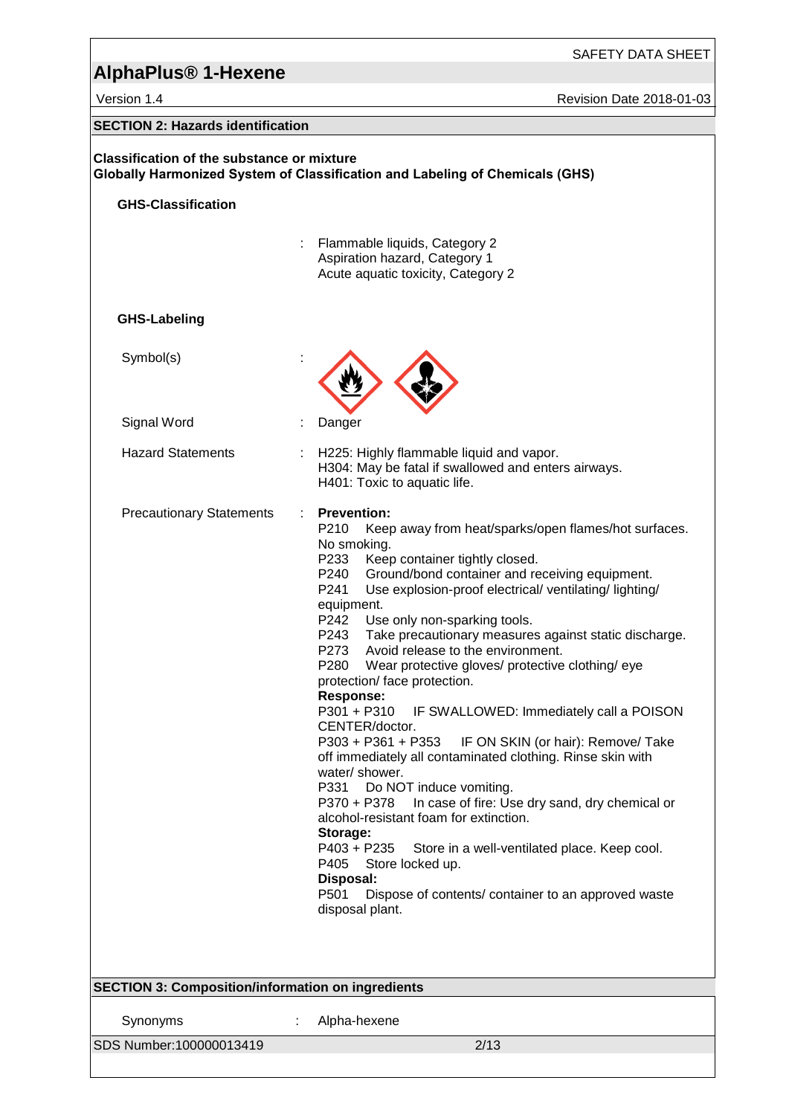## SAFETY DATA SHEET

# **AlphaPlus® 1-Hexene**

Version 1.4 **Version 1.4** Revision Date 2018-01-03

| <b>SECTION 2: Hazards identification</b>                                                                                                 |                                                                                                                                                                                                                                                                                                                                                                                                                                                                                                                                                                                                                                                                                                                                                                                                                                                                                                                                                                                                                                                                                                                                                   |  |
|------------------------------------------------------------------------------------------------------------------------------------------|---------------------------------------------------------------------------------------------------------------------------------------------------------------------------------------------------------------------------------------------------------------------------------------------------------------------------------------------------------------------------------------------------------------------------------------------------------------------------------------------------------------------------------------------------------------------------------------------------------------------------------------------------------------------------------------------------------------------------------------------------------------------------------------------------------------------------------------------------------------------------------------------------------------------------------------------------------------------------------------------------------------------------------------------------------------------------------------------------------------------------------------------------|--|
| <b>Classification of the substance or mixture</b><br><b>Globally Harmonized System of Classification and Labeling of Chemicals (GHS)</b> |                                                                                                                                                                                                                                                                                                                                                                                                                                                                                                                                                                                                                                                                                                                                                                                                                                                                                                                                                                                                                                                                                                                                                   |  |
| <b>GHS-Classification</b>                                                                                                                |                                                                                                                                                                                                                                                                                                                                                                                                                                                                                                                                                                                                                                                                                                                                                                                                                                                                                                                                                                                                                                                                                                                                                   |  |
|                                                                                                                                          |                                                                                                                                                                                                                                                                                                                                                                                                                                                                                                                                                                                                                                                                                                                                                                                                                                                                                                                                                                                                                                                                                                                                                   |  |
|                                                                                                                                          | Flammable liquids, Category 2<br>Aspiration hazard, Category 1                                                                                                                                                                                                                                                                                                                                                                                                                                                                                                                                                                                                                                                                                                                                                                                                                                                                                                                                                                                                                                                                                    |  |
|                                                                                                                                          | Acute aquatic toxicity, Category 2                                                                                                                                                                                                                                                                                                                                                                                                                                                                                                                                                                                                                                                                                                                                                                                                                                                                                                                                                                                                                                                                                                                |  |
|                                                                                                                                          |                                                                                                                                                                                                                                                                                                                                                                                                                                                                                                                                                                                                                                                                                                                                                                                                                                                                                                                                                                                                                                                                                                                                                   |  |
| <b>GHS-Labeling</b>                                                                                                                      |                                                                                                                                                                                                                                                                                                                                                                                                                                                                                                                                                                                                                                                                                                                                                                                                                                                                                                                                                                                                                                                                                                                                                   |  |
| Symbol(s)                                                                                                                                |                                                                                                                                                                                                                                                                                                                                                                                                                                                                                                                                                                                                                                                                                                                                                                                                                                                                                                                                                                                                                                                                                                                                                   |  |
| Signal Word                                                                                                                              | Danger                                                                                                                                                                                                                                                                                                                                                                                                                                                                                                                                                                                                                                                                                                                                                                                                                                                                                                                                                                                                                                                                                                                                            |  |
| <b>Hazard Statements</b>                                                                                                                 | H225: Highly flammable liquid and vapor.<br>H304: May be fatal if swallowed and enters airways.<br>H401: Toxic to aquatic life.                                                                                                                                                                                                                                                                                                                                                                                                                                                                                                                                                                                                                                                                                                                                                                                                                                                                                                                                                                                                                   |  |
| <b>Precautionary Statements</b><br>÷                                                                                                     | <b>Prevention:</b><br>P210<br>Keep away from heat/sparks/open flames/hot surfaces.<br>No smoking.<br>P233<br>Keep container tightly closed.<br>Ground/bond container and receiving equipment.<br>P240<br>P241<br>Use explosion-proof electrical/ventilating/lighting/<br>equipment.<br>P242<br>Use only non-sparking tools.<br>Take precautionary measures against static discharge.<br>P243<br>Avoid release to the environment.<br>P273<br>P <sub>280</sub><br>Wear protective gloves/ protective clothing/ eye<br>protection/ face protection.<br><b>Response:</b><br>IF SWALLOWED: Immediately call a POISON<br>P301 + P310<br>CENTER/doctor.<br>P303 + P361 + P353<br>IF ON SKIN (or hair): Remove/ Take<br>off immediately all contaminated clothing. Rinse skin with<br>water/ shower.<br>P331<br>Do NOT induce vomiting.<br>In case of fire: Use dry sand, dry chemical or<br>P370 + P378<br>alcohol-resistant foam for extinction.<br>Storage:<br>P403 + P235<br>Store in a well-ventilated place. Keep cool.<br>P405<br>Store locked up.<br>Disposal:<br>P501<br>Dispose of contents/ container to an approved waste<br>disposal plant. |  |
| <b>SECTION 3: Composition/information on ingredients</b>                                                                                 |                                                                                                                                                                                                                                                                                                                                                                                                                                                                                                                                                                                                                                                                                                                                                                                                                                                                                                                                                                                                                                                                                                                                                   |  |
| Synonyms                                                                                                                                 | Alpha-hexene                                                                                                                                                                                                                                                                                                                                                                                                                                                                                                                                                                                                                                                                                                                                                                                                                                                                                                                                                                                                                                                                                                                                      |  |
| SDS Number:100000013419                                                                                                                  | 2/13                                                                                                                                                                                                                                                                                                                                                                                                                                                                                                                                                                                                                                                                                                                                                                                                                                                                                                                                                                                                                                                                                                                                              |  |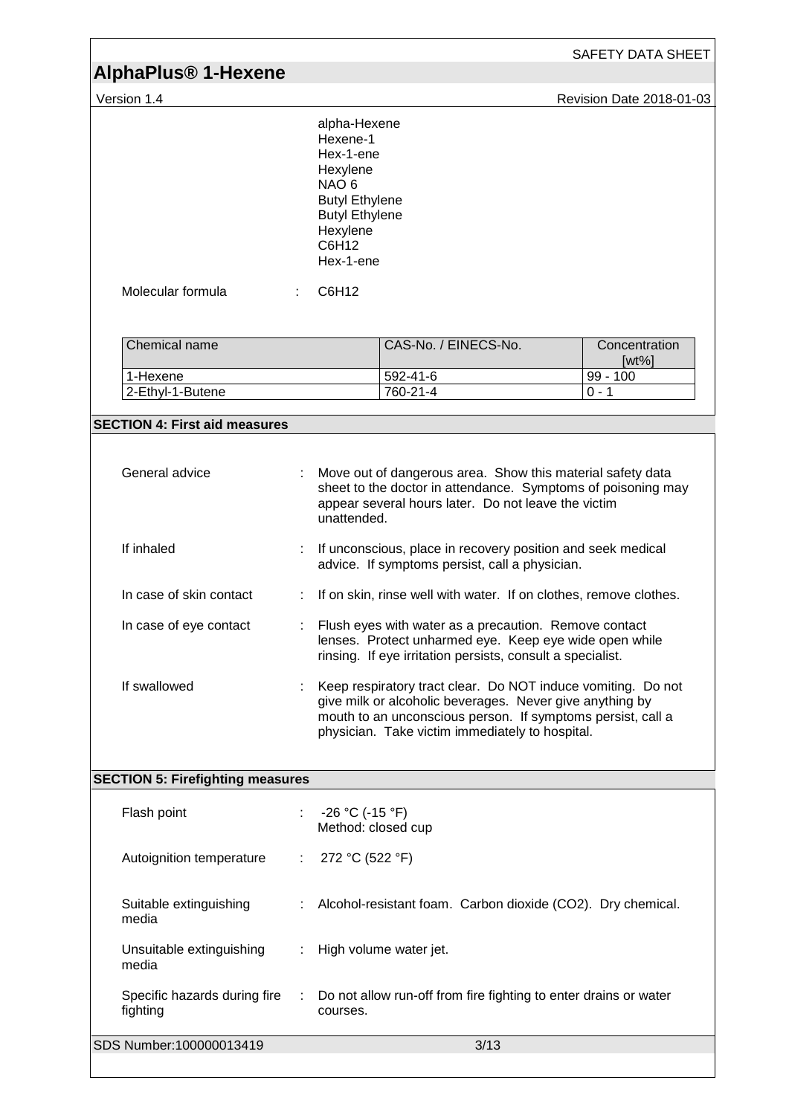| <b>AlphaPlus<sup>®</sup> 1-Hexene</b>    |    |                                                                                                                                                           |                                                                                                                                                                                                                                            |  | SAFETY DATA SHEET         |
|------------------------------------------|----|-----------------------------------------------------------------------------------------------------------------------------------------------------------|--------------------------------------------------------------------------------------------------------------------------------------------------------------------------------------------------------------------------------------------|--|---------------------------|
| Version 1.4                              |    |                                                                                                                                                           |                                                                                                                                                                                                                                            |  | Revision Date 2018-01-03  |
|                                          |    | alpha-Hexene<br>Hexene-1<br>Hex-1-ene<br>Hexylene<br>NAO <sub>6</sub><br><b>Butyl Ethylene</b><br><b>Butyl Ethylene</b><br>Hexylene<br>C6H12<br>Hex-1-ene |                                                                                                                                                                                                                                            |  |                           |
| Molecular formula                        |    | C6H12                                                                                                                                                     |                                                                                                                                                                                                                                            |  |                           |
| Chemical name                            |    |                                                                                                                                                           | CAS-No. / EINECS-No.                                                                                                                                                                                                                       |  | Concentration<br>$[wt\%]$ |
| 1-Hexene<br>2-Ethyl-1-Butene             |    |                                                                                                                                                           | 592-41-6<br>760-21-4                                                                                                                                                                                                                       |  | $99 - 100$<br>$0 - 1$     |
| <b>SECTION 4: First aid measures</b>     |    |                                                                                                                                                           |                                                                                                                                                                                                                                            |  |                           |
|                                          |    |                                                                                                                                                           |                                                                                                                                                                                                                                            |  |                           |
| General advice                           | ÷. | unattended.                                                                                                                                               | Move out of dangerous area. Show this material safety data<br>sheet to the doctor in attendance. Symptoms of poisoning may<br>appear several hours later. Do not leave the victim                                                          |  |                           |
| If inhaled                               |    | If unconscious, place in recovery position and seek medical<br>advice. If symptoms persist, call a physician.                                             |                                                                                                                                                                                                                                            |  |                           |
| In case of skin contact                  |    |                                                                                                                                                           | If on skin, rinse well with water. If on clothes, remove clothes.                                                                                                                                                                          |  |                           |
| In case of eye contact                   |    |                                                                                                                                                           | Flush eyes with water as a precaution. Remove contact<br>lenses. Protect unharmed eye. Keep eye wide open while<br>rinsing. If eye irritation persists, consult a specialist.                                                              |  |                           |
| If swallowed                             |    |                                                                                                                                                           | Keep respiratory tract clear. Do NOT induce vomiting. Do not<br>give milk or alcoholic beverages. Never give anything by<br>mouth to an unconscious person. If symptoms persist, call a<br>physician. Take victim immediately to hospital. |  |                           |
| <b>SECTION 5: Firefighting measures</b>  |    |                                                                                                                                                           |                                                                                                                                                                                                                                            |  |                           |
| Flash point                              |    | $-26 °C$ (-15 °F)<br>Method: closed cup                                                                                                                   |                                                                                                                                                                                                                                            |  |                           |
| Autoignition temperature                 |    | 272 °C (522 °F)                                                                                                                                           |                                                                                                                                                                                                                                            |  |                           |
| Suitable extinguishing<br>media          |    |                                                                                                                                                           | Alcohol-resistant foam. Carbon dioxide (CO2). Dry chemical.                                                                                                                                                                                |  |                           |
| Unsuitable extinguishing<br>media        | ÷  |                                                                                                                                                           | High volume water jet.                                                                                                                                                                                                                     |  |                           |
| Specific hazards during fire<br>fighting |    | courses.                                                                                                                                                  | Do not allow run-off from fire fighting to enter drains or water                                                                                                                                                                           |  |                           |
| SDS Number:100000013419                  |    |                                                                                                                                                           | 3/13                                                                                                                                                                                                                                       |  |                           |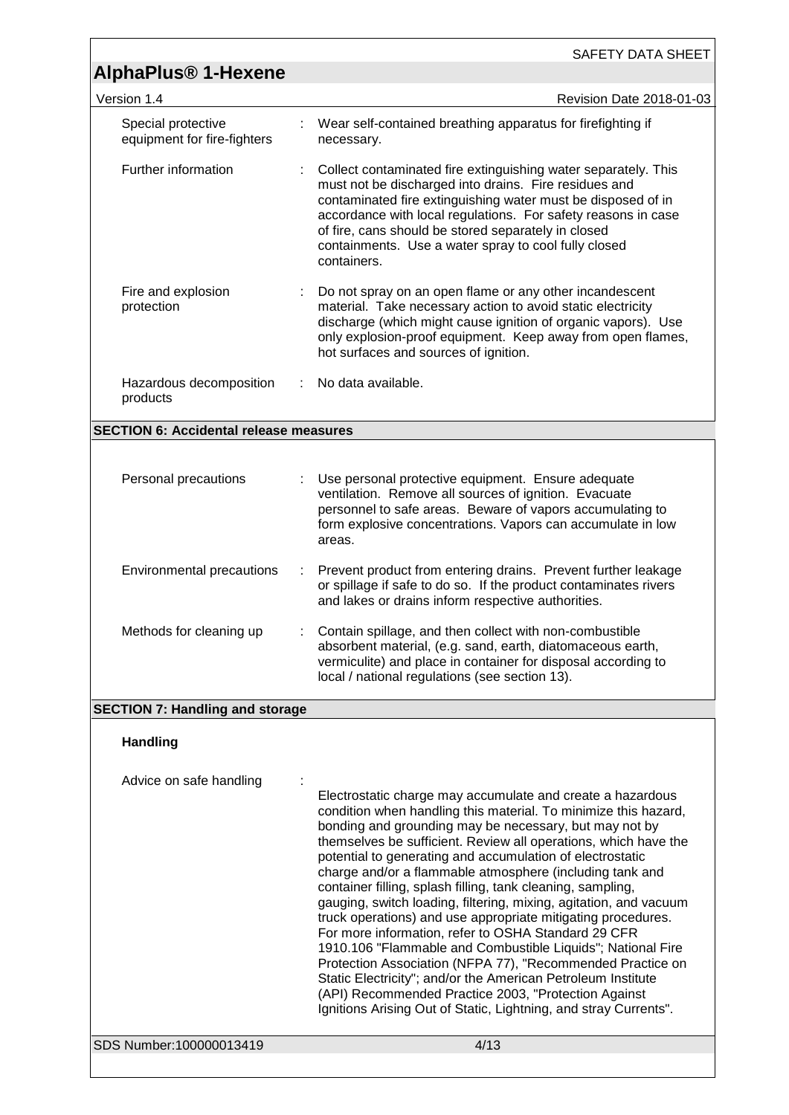|                                                   | SAFETY DATA SHEET                                                                                                                                                                                                                                                                                                                                                                                                                                                                                                                                                                                                                                                                                                                                                                                                                                                                                                                                                       |
|---------------------------------------------------|-------------------------------------------------------------------------------------------------------------------------------------------------------------------------------------------------------------------------------------------------------------------------------------------------------------------------------------------------------------------------------------------------------------------------------------------------------------------------------------------------------------------------------------------------------------------------------------------------------------------------------------------------------------------------------------------------------------------------------------------------------------------------------------------------------------------------------------------------------------------------------------------------------------------------------------------------------------------------|
| <b>AlphaPlus<sup>®</sup> 1-Hexene</b>             |                                                                                                                                                                                                                                                                                                                                                                                                                                                                                                                                                                                                                                                                                                                                                                                                                                                                                                                                                                         |
| Version 1.4                                       | Revision Date 2018-01-03                                                                                                                                                                                                                                                                                                                                                                                                                                                                                                                                                                                                                                                                                                                                                                                                                                                                                                                                                |
| Special protective<br>equipment for fire-fighters | Wear self-contained breathing apparatus for firefighting if<br>necessary.                                                                                                                                                                                                                                                                                                                                                                                                                                                                                                                                                                                                                                                                                                                                                                                                                                                                                               |
| Further information                               | Collect contaminated fire extinguishing water separately. This<br>must not be discharged into drains. Fire residues and<br>contaminated fire extinguishing water must be disposed of in<br>accordance with local regulations. For safety reasons in case<br>of fire, cans should be stored separately in closed<br>containments. Use a water spray to cool fully closed<br>containers.                                                                                                                                                                                                                                                                                                                                                                                                                                                                                                                                                                                  |
| Fire and explosion<br>protection                  | Do not spray on an open flame or any other incandescent<br>material. Take necessary action to avoid static electricity<br>discharge (which might cause ignition of organic vapors). Use<br>only explosion-proof equipment. Keep away from open flames,<br>hot surfaces and sources of ignition.                                                                                                                                                                                                                                                                                                                                                                                                                                                                                                                                                                                                                                                                         |
| Hazardous decomposition<br>products               | No data available.<br>÷                                                                                                                                                                                                                                                                                                                                                                                                                                                                                                                                                                                                                                                                                                                                                                                                                                                                                                                                                 |
| <b>SECTION 6: Accidental release measures</b>     |                                                                                                                                                                                                                                                                                                                                                                                                                                                                                                                                                                                                                                                                                                                                                                                                                                                                                                                                                                         |
|                                                   |                                                                                                                                                                                                                                                                                                                                                                                                                                                                                                                                                                                                                                                                                                                                                                                                                                                                                                                                                                         |
| Personal precautions                              | Use personal protective equipment. Ensure adequate<br>ventilation. Remove all sources of ignition. Evacuate<br>personnel to safe areas. Beware of vapors accumulating to<br>form explosive concentrations. Vapors can accumulate in low<br>areas.                                                                                                                                                                                                                                                                                                                                                                                                                                                                                                                                                                                                                                                                                                                       |
| Environmental precautions                         | Prevent product from entering drains. Prevent further leakage<br>÷<br>or spillage if safe to do so. If the product contaminates rivers<br>and lakes or drains inform respective authorities.                                                                                                                                                                                                                                                                                                                                                                                                                                                                                                                                                                                                                                                                                                                                                                            |
| Methods for cleaning up                           | Contain spillage, and then collect with non-combustible<br>absorbent material, (e.g. sand, earth, diatomaceous earth,<br>vermiculite) and place in container for disposal according to<br>local / national regulations (see section 13).                                                                                                                                                                                                                                                                                                                                                                                                                                                                                                                                                                                                                                                                                                                                |
| <b>SECTION 7: Handling and storage</b>            |                                                                                                                                                                                                                                                                                                                                                                                                                                                                                                                                                                                                                                                                                                                                                                                                                                                                                                                                                                         |
| <b>Handling</b>                                   |                                                                                                                                                                                                                                                                                                                                                                                                                                                                                                                                                                                                                                                                                                                                                                                                                                                                                                                                                                         |
| Advice on safe handling                           | Electrostatic charge may accumulate and create a hazardous<br>condition when handling this material. To minimize this hazard,<br>bonding and grounding may be necessary, but may not by<br>themselves be sufficient. Review all operations, which have the<br>potential to generating and accumulation of electrostatic<br>charge and/or a flammable atmosphere (including tank and<br>container filling, splash filling, tank cleaning, sampling,<br>gauging, switch loading, filtering, mixing, agitation, and vacuum<br>truck operations) and use appropriate mitigating procedures.<br>For more information, refer to OSHA Standard 29 CFR<br>1910.106 "Flammable and Combustible Liquids"; National Fire<br>Protection Association (NFPA 77), "Recommended Practice on<br>Static Electricity"; and/or the American Petroleum Institute<br>(API) Recommended Practice 2003, "Protection Against<br>Ignitions Arising Out of Static, Lightning, and stray Currents". |
| SDS Number:100000013419                           | 4/13                                                                                                                                                                                                                                                                                                                                                                                                                                                                                                                                                                                                                                                                                                                                                                                                                                                                                                                                                                    |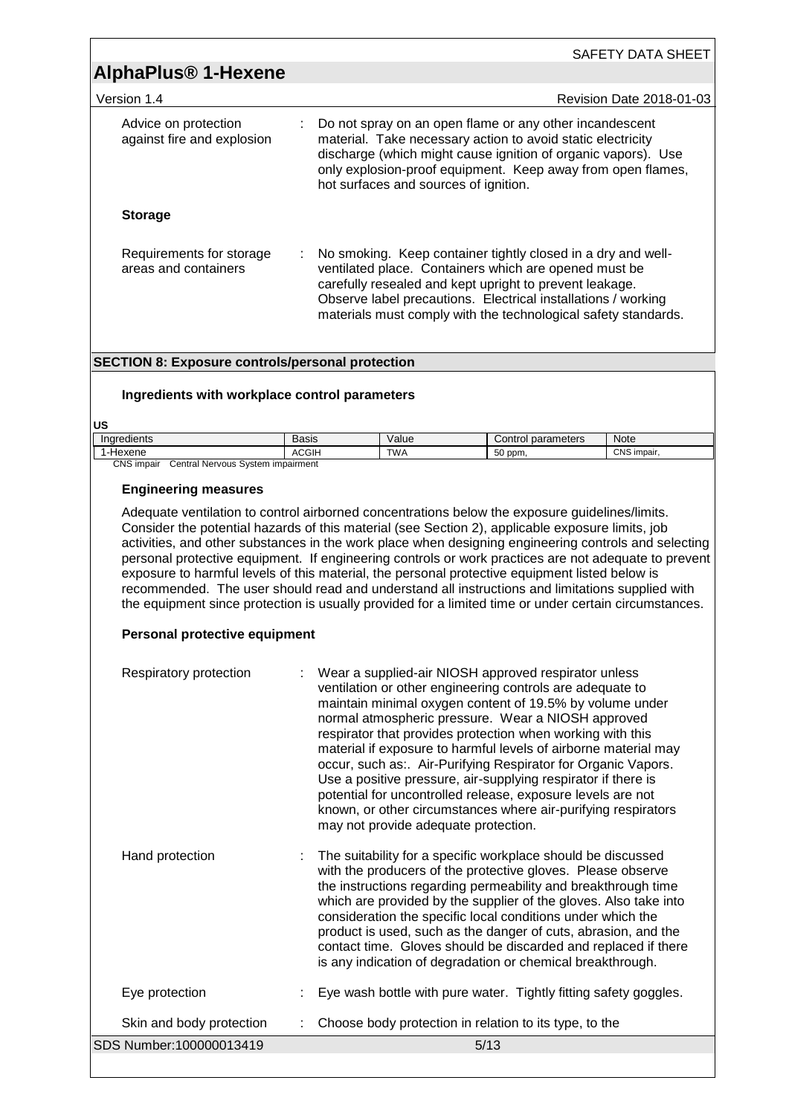|                                                    | SAFETY DATA SHEET                                                                                                                                                                                                                                                                                                     |
|----------------------------------------------------|-----------------------------------------------------------------------------------------------------------------------------------------------------------------------------------------------------------------------------------------------------------------------------------------------------------------------|
| <b>AlphaPlus<sup>®</sup> 1-Hexene</b>              |                                                                                                                                                                                                                                                                                                                       |
| Version 1.4                                        | Revision Date 2018-01-03                                                                                                                                                                                                                                                                                              |
| Advice on protection<br>against fire and explosion | : Do not spray on an open flame or any other incandescent<br>material. Take necessary action to avoid static electricity<br>discharge (which might cause ignition of organic vapors). Use<br>only explosion-proof equipment. Keep away from open flames,<br>hot surfaces and sources of ignition.                     |
| <b>Storage</b>                                     |                                                                                                                                                                                                                                                                                                                       |
| Requirements for storage<br>areas and containers   | : No smoking. Keep container tightly closed in a dry and well-<br>ventilated place. Containers which are opened must be<br>carefully resealed and kept upright to prevent leakage.<br>Observe label precautions. Electrical installations / working<br>materials must comply with the technological safety standards. |

### **SECTION 8: Exposure controls/personal protection**

### **Ingredients with workplace control parameters**

**US**

| Indredients                                     | Basis        | Value      | l parameters<br>Control | Note        |
|-------------------------------------------------|--------------|------------|-------------------------|-------------|
| ·Hexene                                         | <b>ACGIH</b> | <b>TWA</b> | 50 ppm.                 | CNS impair. |
| CNS impair<br>Central Nervous System impairment |              |            |                         |             |

### **Engineering measures**

Adequate ventilation to control airborned concentrations below the exposure guidelines/limits. Consider the potential hazards of this material (see Section 2), applicable exposure limits, job activities, and other substances in the work place when designing engineering controls and selecting personal protective equipment. If engineering controls or work practices are not adequate to prevent exposure to harmful levels of this material, the personal protective equipment listed below is recommended. The user should read and understand all instructions and limitations supplied with the equipment since protection is usually provided for a limited time or under certain circumstances.

### **Personal protective equipment**

| Respiratory protection   | : Wear a supplied-air NIOSH approved respirator unless<br>ventilation or other engineering controls are adequate to<br>maintain minimal oxygen content of 19.5% by volume under<br>normal atmospheric pressure. Wear a NIOSH approved<br>respirator that provides protection when working with this<br>material if exposure to harmful levels of airborne material may<br>occur, such as:. Air-Purifying Respirator for Organic Vapors.<br>Use a positive pressure, air-supplying respirator if there is<br>potential for uncontrolled release, exposure levels are not<br>known, or other circumstances where air-purifying respirators<br>may not provide adequate protection. |
|--------------------------|----------------------------------------------------------------------------------------------------------------------------------------------------------------------------------------------------------------------------------------------------------------------------------------------------------------------------------------------------------------------------------------------------------------------------------------------------------------------------------------------------------------------------------------------------------------------------------------------------------------------------------------------------------------------------------|
| Hand protection          | The suitability for a specific workplace should be discussed<br>with the producers of the protective gloves. Please observe<br>the instructions regarding permeability and breakthrough time<br>which are provided by the supplier of the gloves. Also take into<br>consideration the specific local conditions under which the<br>product is used, such as the danger of cuts, abrasion, and the<br>contact time. Gloves should be discarded and replaced if there<br>is any indication of degradation or chemical breakthrough.                                                                                                                                                |
| Eye protection           | Eye wash bottle with pure water. Tightly fitting safety goggles.                                                                                                                                                                                                                                                                                                                                                                                                                                                                                                                                                                                                                 |
| Skin and body protection | Choose body protection in relation to its type, to the                                                                                                                                                                                                                                                                                                                                                                                                                                                                                                                                                                                                                           |
| SDS Number:100000013419  | 5/13                                                                                                                                                                                                                                                                                                                                                                                                                                                                                                                                                                                                                                                                             |
|                          |                                                                                                                                                                                                                                                                                                                                                                                                                                                                                                                                                                                                                                                                                  |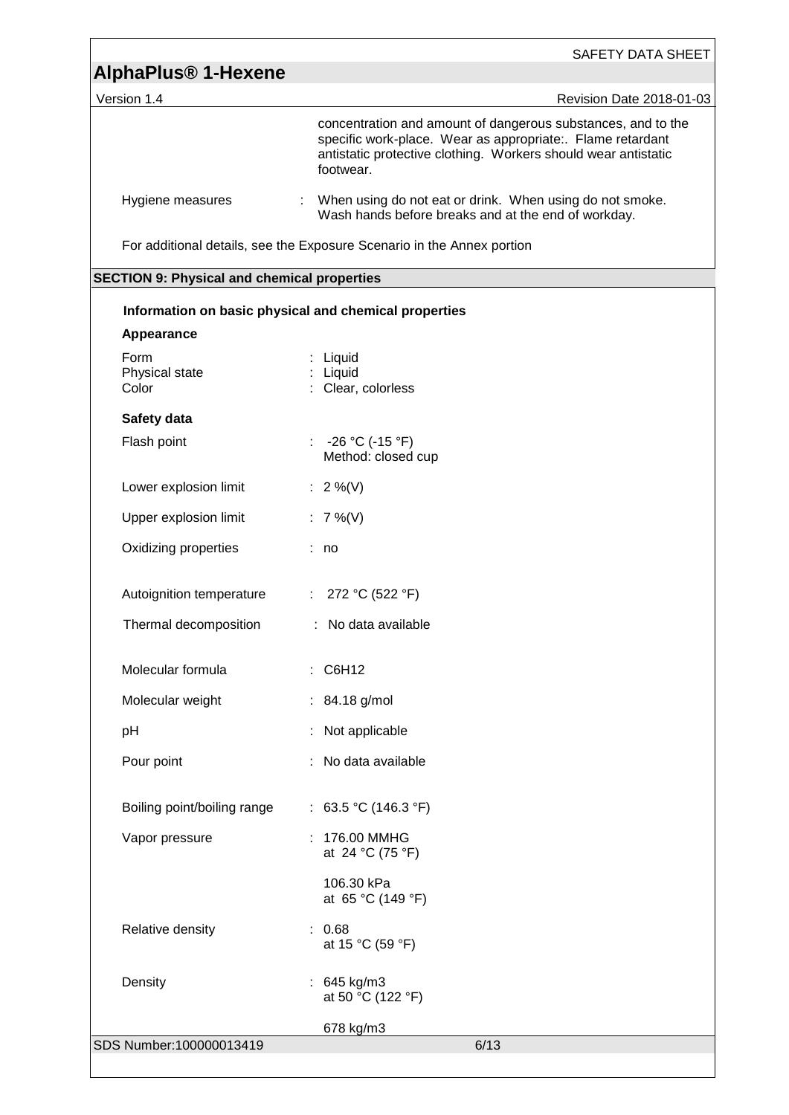|                                                    | SAFETY DATA SHEET                                                                                                                                                                                         |
|----------------------------------------------------|-----------------------------------------------------------------------------------------------------------------------------------------------------------------------------------------------------------|
| <b>AlphaPlus<sup>®</sup> 1-Hexene</b>              |                                                                                                                                                                                                           |
| Version 1.4                                        | Revision Date 2018-01-03                                                                                                                                                                                  |
|                                                    | concentration and amount of dangerous substances, and to the<br>specific work-place. Wear as appropriate:. Flame retardant<br>antistatic protective clothing. Workers should wear antistatic<br>footwear. |
| Hygiene measures                                   | When using do not eat or drink. When using do not smoke.<br>Wash hands before breaks and at the end of workday.                                                                                           |
|                                                    | For additional details, see the Exposure Scenario in the Annex portion                                                                                                                                    |
| <b>SECTION 9: Physical and chemical properties</b> |                                                                                                                                                                                                           |
|                                                    | Information on basic physical and chemical properties                                                                                                                                                     |
| Appearance                                         |                                                                                                                                                                                                           |
| Form<br>Physical state<br>Color                    | Liquid<br>: Liquid<br>: Clear, colorless                                                                                                                                                                  |
| Safety data                                        |                                                                                                                                                                                                           |
| Flash point                                        | : $-26 °C (-15 °F)$<br>Method: closed cup                                                                                                                                                                 |
| Lower explosion limit                              | : $2\%$ (V)                                                                                                                                                                                               |
| Upper explosion limit                              | : $7\%$ (V)                                                                                                                                                                                               |
| Oxidizing properties                               | : no                                                                                                                                                                                                      |
| Autoignition temperature                           | : $272 °C (522 °F)$                                                                                                                                                                                       |
| Thermal decomposition                              | : No data available                                                                                                                                                                                       |
| Molecular formula                                  | : C6H12                                                                                                                                                                                                   |
| Molecular weight                                   | : 84.18 g/mol                                                                                                                                                                                             |
| pH                                                 | Not applicable                                                                                                                                                                                            |
| Pour point                                         | No data available                                                                                                                                                                                         |
| Boiling point/boiling range                        | : 63.5 °C (146.3 °F)                                                                                                                                                                                      |
| Vapor pressure                                     | : 176.00 MMHG<br>at 24 °C (75 °F)                                                                                                                                                                         |
|                                                    | 106.30 kPa<br>at 65 °C (149 °F)                                                                                                                                                                           |
| Relative density                                   | : 0.68<br>at 15 °C (59 °F)                                                                                                                                                                                |
| Density                                            | 645 kg/m3<br>at 50 °C (122 °F)                                                                                                                                                                            |
|                                                    | 678 kg/m3                                                                                                                                                                                                 |
| SDS Number:100000013419                            | 6/13                                                                                                                                                                                                      |

<u> 1980 - Andrea Station Barbara, actor a contrador de la contrador de la contrador de la contrador de la contra</u>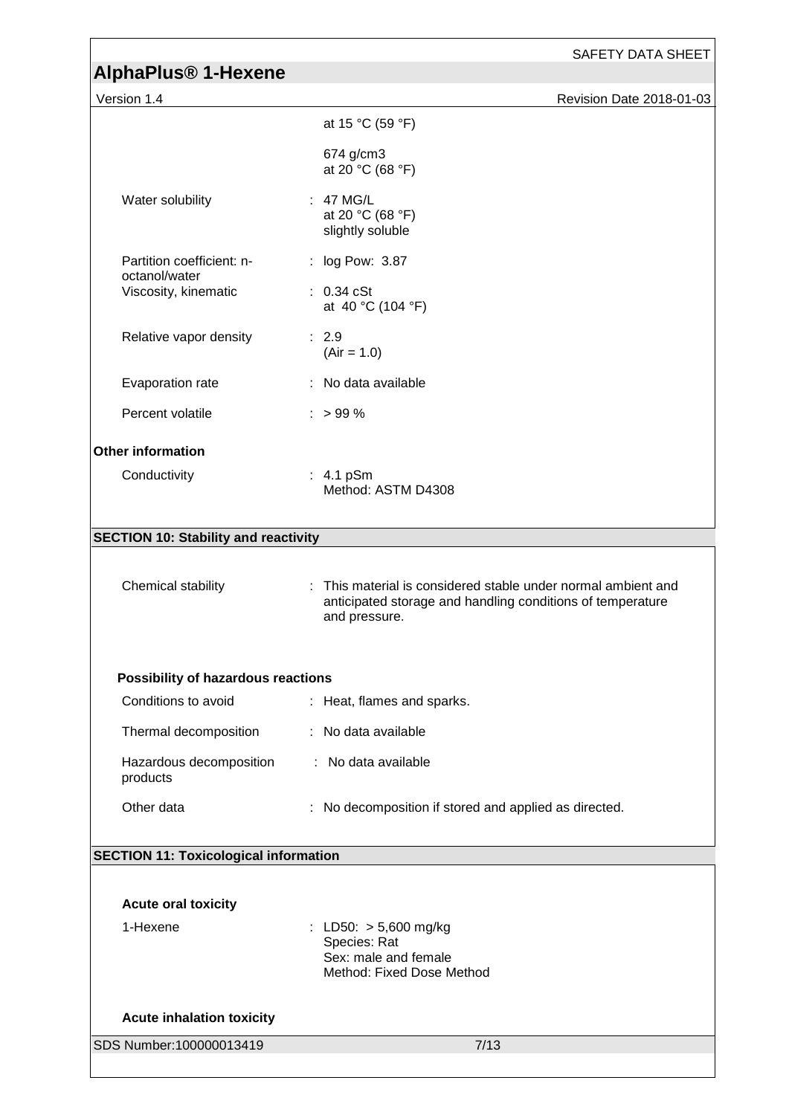|                                                      | SAFETY DATA SHEET                                                                                                                            |
|------------------------------------------------------|----------------------------------------------------------------------------------------------------------------------------------------------|
| <b>AlphaPlus<sup>®</sup> 1-Hexene</b><br>Version 1.4 | Revision Date 2018-01-03                                                                                                                     |
|                                                      | at 15 °C (59 °F)                                                                                                                             |
|                                                      |                                                                                                                                              |
|                                                      | 674 g/cm3<br>at 20 °C (68 °F)                                                                                                                |
| Water solubility                                     | : 47 MG/L<br>at 20 °C (68 °F)<br>slightly soluble                                                                                            |
| Partition coefficient: n-                            | : log Pow: 3.87                                                                                                                              |
| octanol/water<br>Viscosity, kinematic                | $: 0.34$ cSt<br>at 40 °C (104 °F)                                                                                                            |
| Relative vapor density                               | : 2.9<br>$(Air = 1.0)$                                                                                                                       |
| Evaporation rate                                     | : No data available                                                                                                                          |
| Percent volatile                                     | $:$ > 99 %                                                                                                                                   |
| <b>Other information</b>                             |                                                                                                                                              |
| Conductivity                                         | $: 4.1$ pSm<br>Method: ASTM D4308                                                                                                            |
| <b>SECTION 10: Stability and reactivity</b>          |                                                                                                                                              |
|                                                      |                                                                                                                                              |
| Chemical stability                                   | : This material is considered stable under normal ambient and<br>anticipated storage and handling conditions of temperature<br>and pressure. |
| Possibility of hazardous reactions                   |                                                                                                                                              |
| Conditions to avoid                                  | : Heat, flames and sparks.                                                                                                                   |
| Thermal decomposition                                | : No data available                                                                                                                          |
| Hazardous decomposition<br>products                  | : No data available                                                                                                                          |
| Other data                                           | No decomposition if stored and applied as directed.                                                                                          |
| <b>SECTION 11: Toxicological information</b>         |                                                                                                                                              |
|                                                      |                                                                                                                                              |
| <b>Acute oral toxicity</b>                           |                                                                                                                                              |
| 1-Hexene                                             | : LD50: $> 5,600$ mg/kg<br>Species: Rat<br>Sex: male and female<br>Method: Fixed Dose Method                                                 |
| <b>Acute inhalation toxicity</b>                     |                                                                                                                                              |
| SDS Number:100000013419                              | 7/13                                                                                                                                         |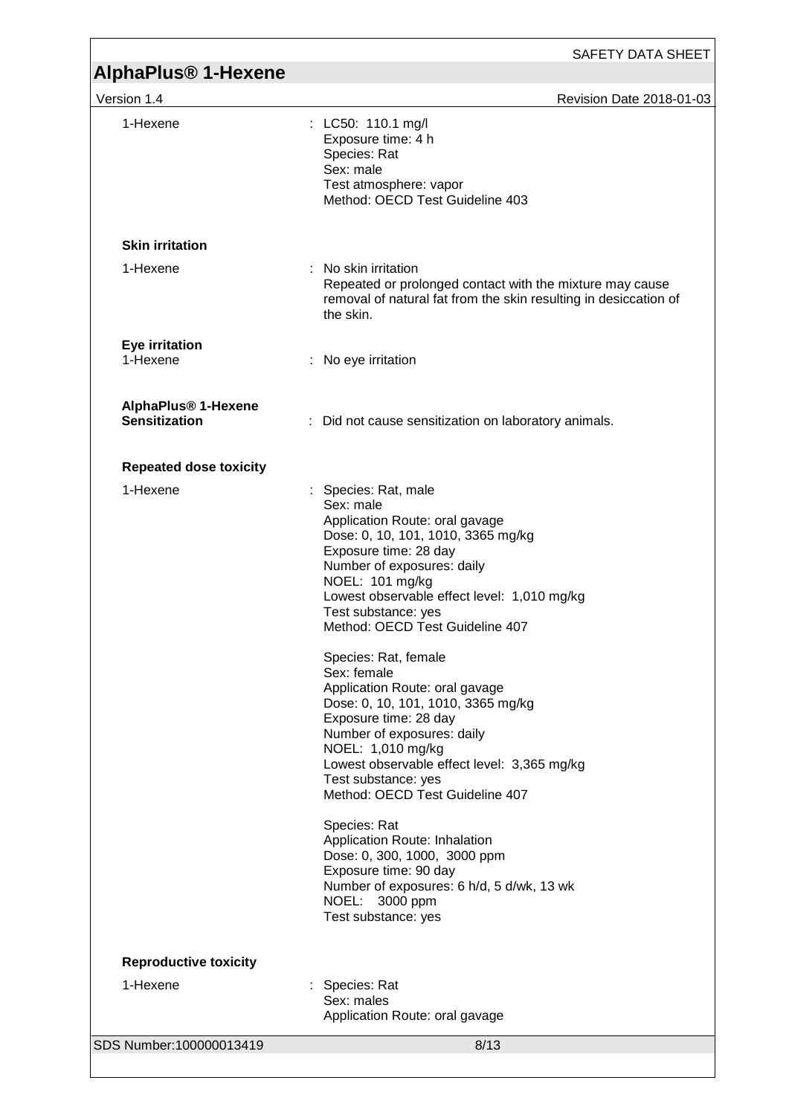| <b>AlphaPlus<sup>®</sup> 1-Hexene</b>                   | SAFETY DATA SHEET                                                                                                                                                                                                                                                                                                                                                                                                                                                                                                                                                                                                                                                                                                                                                                                |
|---------------------------------------------------------|--------------------------------------------------------------------------------------------------------------------------------------------------------------------------------------------------------------------------------------------------------------------------------------------------------------------------------------------------------------------------------------------------------------------------------------------------------------------------------------------------------------------------------------------------------------------------------------------------------------------------------------------------------------------------------------------------------------------------------------------------------------------------------------------------|
| Version 1.4                                             | Revision Date 2018-01-03                                                                                                                                                                                                                                                                                                                                                                                                                                                                                                                                                                                                                                                                                                                                                                         |
| 1-Hexene                                                | : LC50: 110.1 mg/l<br>Exposure time: 4 h<br>Species: Rat<br>Sex: male<br>Test atmosphere: vapor<br>Method: OECD Test Guideline 403                                                                                                                                                                                                                                                                                                                                                                                                                                                                                                                                                                                                                                                               |
| <b>Skin irritation</b>                                  |                                                                                                                                                                                                                                                                                                                                                                                                                                                                                                                                                                                                                                                                                                                                                                                                  |
| 1-Hexene                                                | : No skin irritation<br>Repeated or prolonged contact with the mixture may cause<br>removal of natural fat from the skin resulting in desiccation of<br>the skin.                                                                                                                                                                                                                                                                                                                                                                                                                                                                                                                                                                                                                                |
| <b>Eye irritation</b><br>1-Hexene                       | : No eye irritation                                                                                                                                                                                                                                                                                                                                                                                                                                                                                                                                                                                                                                                                                                                                                                              |
| AlphaPlus <sup>®</sup> 1-Hexene<br><b>Sensitization</b> | Did not cause sensitization on laboratory animals.                                                                                                                                                                                                                                                                                                                                                                                                                                                                                                                                                                                                                                                                                                                                               |
| <b>Repeated dose toxicity</b>                           |                                                                                                                                                                                                                                                                                                                                                                                                                                                                                                                                                                                                                                                                                                                                                                                                  |
| 1-Hexene                                                | : Species: Rat, male<br>Sex: male<br>Application Route: oral gavage<br>Dose: 0, 10, 101, 1010, 3365 mg/kg<br>Exposure time: 28 day<br>Number of exposures: daily<br>NOEL: 101 mg/kg<br>Lowest observable effect level: 1,010 mg/kg<br>Test substance: yes<br>Method: OECD Test Guideline 407<br>Species: Rat, female<br>Sex: female<br>Application Route: oral gavage<br>Dose: 0, 10, 101, 1010, 3365 mg/kg<br>Exposure time: 28 day<br>Number of exposures: daily<br>NOEL: 1,010 mg/kg<br>Lowest observable effect level: 3,365 mg/kg<br>Test substance: yes<br>Method: OECD Test Guideline 407<br>Species: Rat<br>Application Route: Inhalation<br>Dose: 0, 300, 1000, 3000 ppm<br>Exposure time: 90 day<br>Number of exposures: 6 h/d, 5 d/wk, 13 wk<br>NOEL: 3000 ppm<br>Test substance: yes |
| <b>Reproductive toxicity</b>                            |                                                                                                                                                                                                                                                                                                                                                                                                                                                                                                                                                                                                                                                                                                                                                                                                  |
| 1-Hexene                                                | Species: Rat<br>Sex: males<br>Application Route: oral gavage                                                                                                                                                                                                                                                                                                                                                                                                                                                                                                                                                                                                                                                                                                                                     |
| SDS Number:100000013419                                 | 8/13                                                                                                                                                                                                                                                                                                                                                                                                                                                                                                                                                                                                                                                                                                                                                                                             |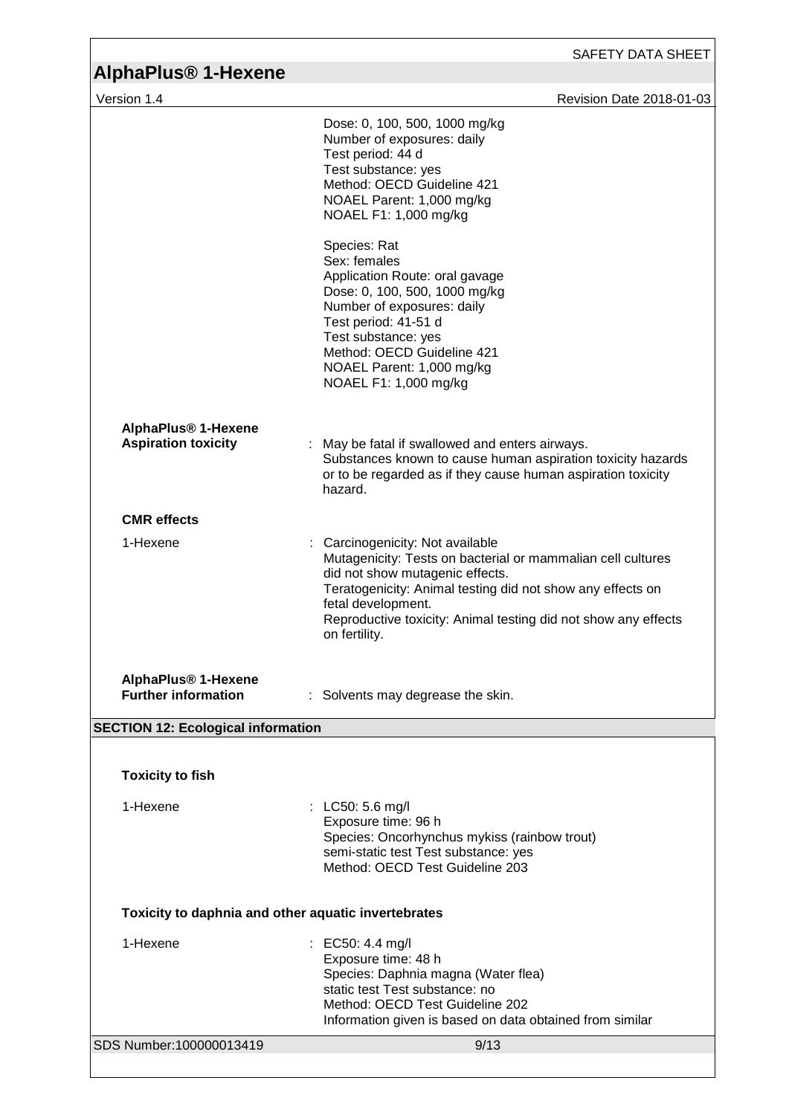| AlphaPlus <sup>®</sup> 1-Hexene                               | <b>SAFETY DATA SHEET</b>                                                                                                                                                                                                                                                                                |
|---------------------------------------------------------------|---------------------------------------------------------------------------------------------------------------------------------------------------------------------------------------------------------------------------------------------------------------------------------------------------------|
| Version 1.4                                                   | Revision Date 2018-01-03                                                                                                                                                                                                                                                                                |
|                                                               | Dose: 0, 100, 500, 1000 mg/kg<br>Number of exposures: daily<br>Test period: 44 d<br>Test substance: yes<br>Method: OECD Guideline 421<br>NOAEL Parent: 1,000 mg/kg<br>NOAEL F1: 1,000 mg/kg                                                                                                             |
|                                                               | Species: Rat<br>Sex: females<br>Application Route: oral gavage<br>Dose: 0, 100, 500, 1000 mg/kg<br>Number of exposures: daily<br>Test period: 41-51 d<br>Test substance: yes<br>Method: OECD Guideline 421<br>NOAEL Parent: 1,000 mg/kg<br>NOAEL F1: 1,000 mg/kg                                        |
| AlphaPlus <sup>®</sup> 1-Hexene<br><b>Aspiration toxicity</b> | May be fatal if swallowed and enters airways.<br>Substances known to cause human aspiration toxicity hazards<br>or to be regarded as if they cause human aspiration toxicity<br>hazard.                                                                                                                 |
| <b>CMR</b> effects                                            |                                                                                                                                                                                                                                                                                                         |
| 1-Hexene                                                      | Carcinogenicity: Not available<br>Mutagenicity: Tests on bacterial or mammalian cell cultures<br>did not show mutagenic effects.<br>Teratogenicity: Animal testing did not show any effects on<br>fetal development.<br>Reproductive toxicity: Animal testing did not show any effects<br>on fertility. |
| AlphaPlus <sup>®</sup> 1-Hexene<br><b>Further information</b> | : Solvents may degrease the skin.                                                                                                                                                                                                                                                                       |
| <b>SECTION 12: Ecological information</b>                     |                                                                                                                                                                                                                                                                                                         |
| <b>Toxicity to fish</b>                                       |                                                                                                                                                                                                                                                                                                         |
| 1-Hexene                                                      | : LC50: 5.6 mg/l<br>Exposure time: 96 h<br>Species: Oncorhynchus mykiss (rainbow trout)<br>semi-static test Test substance: yes<br>Method: OECD Test Guideline 203                                                                                                                                      |
| Toxicity to daphnia and other aquatic invertebrates           |                                                                                                                                                                                                                                                                                                         |
| 1-Hexene                                                      | EC50: 4.4 mg/l<br>Exposure time: 48 h<br>Species: Daphnia magna (Water flea)<br>static test Test substance: no<br>Method: OECD Test Guideline 202<br>Information given is based on data obtained from similar                                                                                           |
|                                                               |                                                                                                                                                                                                                                                                                                         |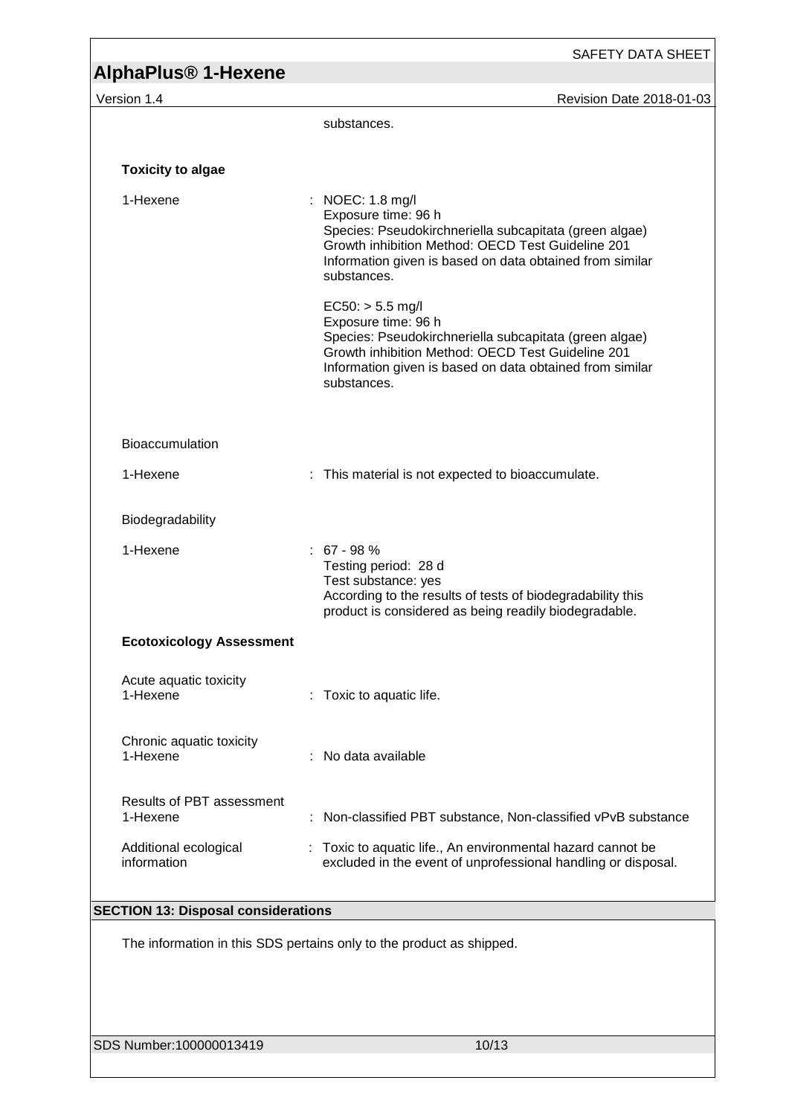|                                              | SAFETY DATA SHEET                                                                                                                                                                                                                   |
|----------------------------------------------|-------------------------------------------------------------------------------------------------------------------------------------------------------------------------------------------------------------------------------------|
| <b>AlphaPlus<sup>®</sup> 1-Hexene</b>        |                                                                                                                                                                                                                                     |
| Version 1.4                                  | Revision Date 2018-01-03                                                                                                                                                                                                            |
|                                              | substances.                                                                                                                                                                                                                         |
| <b>Toxicity to algae</b>                     |                                                                                                                                                                                                                                     |
| 1-Hexene                                     | : NOEC: 1.8 mg/l<br>Exposure time: 96 h<br>Species: Pseudokirchneriella subcapitata (green algae)<br>Growth inhibition Method: OECD Test Guideline 201<br>Information given is based on data obtained from similar<br>substances.   |
|                                              | $EC50:$ > 5.5 mg/l<br>Exposure time: 96 h<br>Species: Pseudokirchneriella subcapitata (green algae)<br>Growth inhibition Method: OECD Test Guideline 201<br>Information given is based on data obtained from similar<br>substances. |
| Bioaccumulation                              |                                                                                                                                                                                                                                     |
| 1-Hexene                                     | This material is not expected to bioaccumulate.<br>t.                                                                                                                                                                               |
| Biodegradability                             |                                                                                                                                                                                                                                     |
| 1-Hexene                                     | $: 67 - 98 %$<br>Testing period: 28 d<br>Test substance: yes<br>According to the results of tests of biodegradability this<br>product is considered as being readily biodegradable.                                                 |
| <b>Ecotoxicology Assessment</b>              |                                                                                                                                                                                                                                     |
| Acute aquatic toxicity<br>1-Hexene           | Toxic to aquatic life.                                                                                                                                                                                                              |
| Chronic aquatic toxicity<br>1-Hexene         | : No data available                                                                                                                                                                                                                 |
| <b>Results of PBT assessment</b><br>1-Hexene | Non-classified PBT substance, Non-classified vPvB substance                                                                                                                                                                         |
| Additional ecological<br>information         | : Toxic to aquatic life., An environmental hazard cannot be<br>excluded in the event of unprofessional handling or disposal.                                                                                                        |
| <b>SECTION 13: Disposal considerations</b>   |                                                                                                                                                                                                                                     |
|                                              | The information in this SDS pertains only to the product as shipped.                                                                                                                                                                |
| SDS Number:100000013419                      | 10/13                                                                                                                                                                                                                               |

<u> 1989 - Johann Stoff, fransk politik (d. 19</u>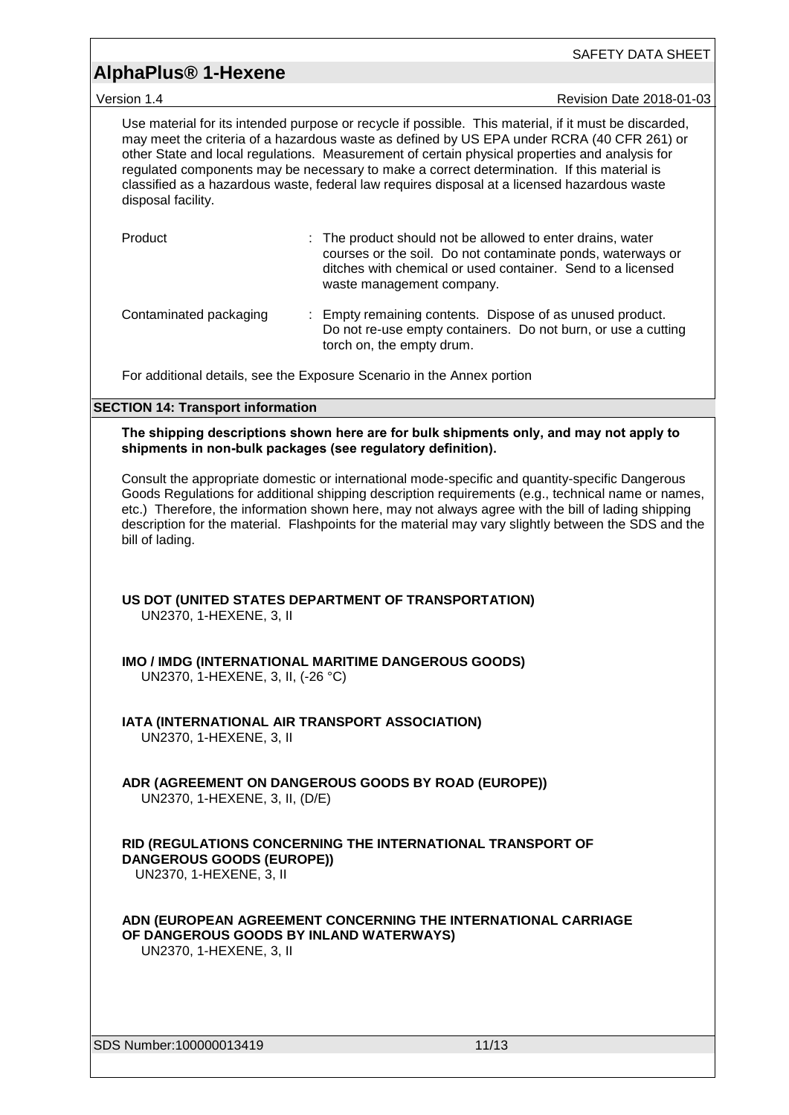|                                                                                                                                                                                                                                                                                                                                                                                                                                                                                                                           | SAFETY DATA SHEET                                                                                                                                                                                                                                                                                                                                                                                                   |  |  |  |  |
|---------------------------------------------------------------------------------------------------------------------------------------------------------------------------------------------------------------------------------------------------------------------------------------------------------------------------------------------------------------------------------------------------------------------------------------------------------------------------------------------------------------------------|---------------------------------------------------------------------------------------------------------------------------------------------------------------------------------------------------------------------------------------------------------------------------------------------------------------------------------------------------------------------------------------------------------------------|--|--|--|--|
| <b>AlphaPlus<sup>®</sup> 1-Hexene</b>                                                                                                                                                                                                                                                                                                                                                                                                                                                                                     |                                                                                                                                                                                                                                                                                                                                                                                                                     |  |  |  |  |
| Version 1.4                                                                                                                                                                                                                                                                                                                                                                                                                                                                                                               | Revision Date 2018-01-03                                                                                                                                                                                                                                                                                                                                                                                            |  |  |  |  |
| Use material for its intended purpose or recycle if possible. This material, if it must be discarded,<br>may meet the criteria of a hazardous waste as defined by US EPA under RCRA (40 CFR 261) or<br>other State and local regulations. Measurement of certain physical properties and analysis for<br>regulated components may be necessary to make a correct determination. If this material is<br>classified as a hazardous waste, federal law requires disposal at a licensed hazardous waste<br>disposal facility. |                                                                                                                                                                                                                                                                                                                                                                                                                     |  |  |  |  |
| Product                                                                                                                                                                                                                                                                                                                                                                                                                                                                                                                   | : The product should not be allowed to enter drains, water<br>courses or the soil. Do not contaminate ponds, waterways or<br>ditches with chemical or used container. Send to a licensed<br>waste management company.                                                                                                                                                                                               |  |  |  |  |
| Contaminated packaging                                                                                                                                                                                                                                                                                                                                                                                                                                                                                                    | Empty remaining contents. Dispose of as unused product.<br>Do not re-use empty containers. Do not burn, or use a cutting<br>torch on, the empty drum.                                                                                                                                                                                                                                                               |  |  |  |  |
|                                                                                                                                                                                                                                                                                                                                                                                                                                                                                                                           | For additional details, see the Exposure Scenario in the Annex portion                                                                                                                                                                                                                                                                                                                                              |  |  |  |  |
| <b>SECTION 14: Transport information</b>                                                                                                                                                                                                                                                                                                                                                                                                                                                                                  |                                                                                                                                                                                                                                                                                                                                                                                                                     |  |  |  |  |
|                                                                                                                                                                                                                                                                                                                                                                                                                                                                                                                           | The shipping descriptions shown here are for bulk shipments only, and may not apply to<br>shipments in non-bulk packages (see regulatory definition).                                                                                                                                                                                                                                                               |  |  |  |  |
| bill of lading.                                                                                                                                                                                                                                                                                                                                                                                                                                                                                                           | Consult the appropriate domestic or international mode-specific and quantity-specific Dangerous<br>Goods Regulations for additional shipping description requirements (e.g., technical name or names,<br>etc.) Therefore, the information shown here, may not always agree with the bill of lading shipping<br>description for the material. Flashpoints for the material may vary slightly between the SDS and the |  |  |  |  |
| UN2370, 1-HEXENE, 3, II                                                                                                                                                                                                                                                                                                                                                                                                                                                                                                   | US DOT (UNITED STATES DEPARTMENT OF TRANSPORTATION)                                                                                                                                                                                                                                                                                                                                                                 |  |  |  |  |
|                                                                                                                                                                                                                                                                                                                                                                                                                                                                                                                           | <b>IMO / IMDG (INTERNATIONAL MARITIME DANGEROUS GOODS)</b><br>UN2370, 1-HEXENE, 3, II, (-26 °C)                                                                                                                                                                                                                                                                                                                     |  |  |  |  |
| IATA (INTERNATIONAL AIR TRANSPORT ASSOCIATION)<br>UN2370, 1-HEXENE, 3, II                                                                                                                                                                                                                                                                                                                                                                                                                                                 |                                                                                                                                                                                                                                                                                                                                                                                                                     |  |  |  |  |
| UN2370, 1-HEXENE, 3, II, (D/E)                                                                                                                                                                                                                                                                                                                                                                                                                                                                                            | ADR (AGREEMENT ON DANGEROUS GOODS BY ROAD (EUROPE))                                                                                                                                                                                                                                                                                                                                                                 |  |  |  |  |
| RID (REGULATIONS CONCERNING THE INTERNATIONAL TRANSPORT OF<br>DANGEROUS GOODS (EUROPE))<br>UN2370, 1-HEXENE, 3, II                                                                                                                                                                                                                                                                                                                                                                                                        |                                                                                                                                                                                                                                                                                                                                                                                                                     |  |  |  |  |
| UN2370, 1-HEXENE, 3, II                                                                                                                                                                                                                                                                                                                                                                                                                                                                                                   | ADN (EUROPEAN AGREEMENT CONCERNING THE INTERNATIONAL CARRIAGE<br>OF DANGEROUS GOODS BY INLAND WATERWAYS)                                                                                                                                                                                                                                                                                                            |  |  |  |  |
| SDS Number:100000013419                                                                                                                                                                                                                                                                                                                                                                                                                                                                                                   | 11/13                                                                                                                                                                                                                                                                                                                                                                                                               |  |  |  |  |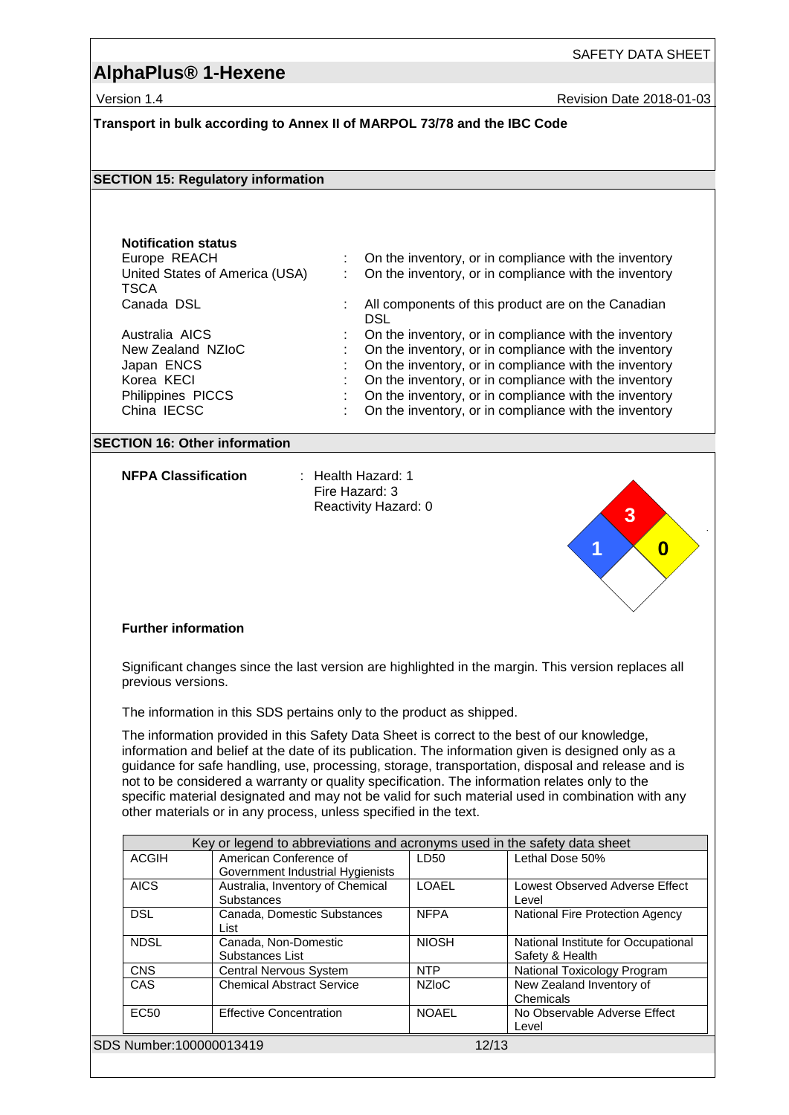## **AlphaPlus® 1-Hexene**

Version 1.4 **New Search 2018-01-03** Revision Date 2018-01-03

### **Transport in bulk according to Annex II of MARPOL 73/78 and the IBC Code**

#### **SECTION 15: Regulatory information**

# **Notification status**

United States of America (USA) **TSCA** 

On the inventory, or in compliance with the inventory : On the inventory, or in compliance with the inventory

- Canada DSL **Canadian** : All components of this product are on the Canadian **DSL**
- Australia AICS : On the inventory, or in compliance with the inventory
- New Zealand NZIoC : On the inventory, or in compliance with the inventory<br>Japan ENCS : On the inventory, or in compliance with the inventory : On the inventory, or in compliance with the inventory
	-
- Korea KECI **in the inventory**, or in compliance with the inventory
- Philippines PICCS : On the inventory, or in compliance with the inventory<br>China IECSC : On the inventory, or in compliance with the inventory : On the inventory, or in compliance with the inventory

### **SECTION 16: Other information**

**NFPA Classification** : Health Hazard: 1

Fire Hazard: 3 Reactivity Hazard: 0



### **Further information**

Significant changes since the last version are highlighted in the margin. This version replaces all previous versions.

The information in this SDS pertains only to the product as shipped.

The information provided in this Safety Data Sheet is correct to the best of our knowledge, information and belief at the date of its publication. The information given is designed only as a guidance for safe handling, use, processing, storage, transportation, disposal and release and is not to be considered a warranty or quality specification. The information relates only to the specific material designated and may not be valid for such material used in combination with any other materials or in any process, unless specified in the text.

|  | Key or legend to abbreviations and acronyms used in the safety data sheet |                                  |              |                                        |  |
|--|---------------------------------------------------------------------------|----------------------------------|--------------|----------------------------------------|--|
|  | ACGIH                                                                     | American Conference of           | LD50         | Lethal Dose 50%                        |  |
|  |                                                                           | Government Industrial Hygienists |              |                                        |  |
|  | <b>AICS</b>                                                               | Australia, Inventory of Chemical | <b>LOAFL</b> | Lowest Observed Adverse Effect         |  |
|  |                                                                           | <b>Substances</b>                |              | Level                                  |  |
|  | <b>DSL</b>                                                                | Canada, Domestic Substances      | <b>NFPA</b>  | <b>National Fire Protection Agency</b> |  |
|  |                                                                           | List                             |              |                                        |  |
|  | <b>NDSL</b>                                                               | Canada, Non-Domestic             | <b>NIOSH</b> | National Institute for Occupational    |  |
|  |                                                                           | Substances List                  |              | Safety & Health                        |  |
|  | <b>CNS</b>                                                                | <b>Central Nervous System</b>    | <b>NTP</b>   | National Toxicology Program            |  |
|  | CAS                                                                       | <b>Chemical Abstract Service</b> | <b>NZIOC</b> | New Zealand Inventory of               |  |
|  |                                                                           |                                  |              | Chemicals                              |  |
|  | EC <sub>50</sub>                                                          | <b>Effective Concentration</b>   | <b>NOAFL</b> | No Observable Adverse Effect           |  |
|  |                                                                           |                                  |              | Level                                  |  |
|  | SDS Number:100000013419                                                   |                                  | 12/13        |                                        |  |
|  |                                                                           |                                  |              |                                        |  |